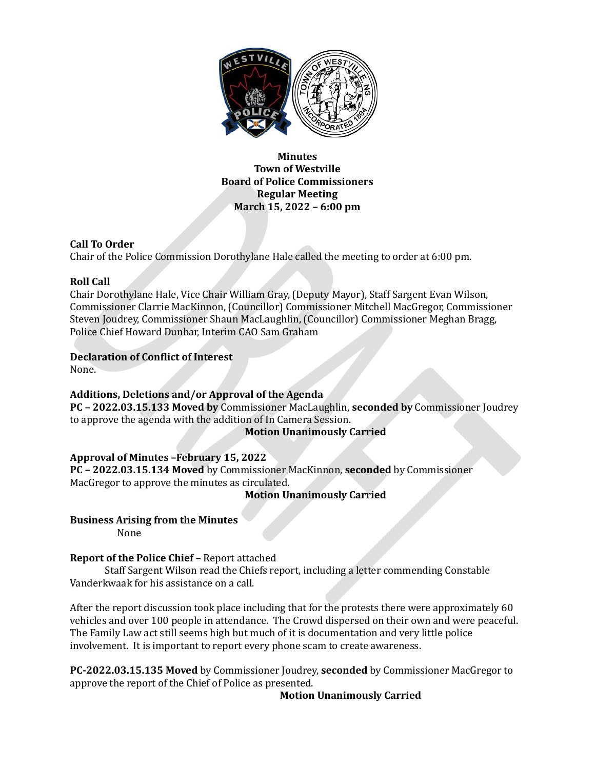

**Minutes Town of Westville Board of Police Commissioners Regular Meeting March 15, 2022 – 6:00 pm**

## **Call To Order**

Chair of the Police Commission Dorothylane Hale called the meeting to order at 6:00 pm.

## **Roll Call**

Chair Dorothylane Hale, Vice Chair William Gray, (Deputy Mayor), Staff Sargent Evan Wilson, Commissioner Clarrie MacKinnon, (Councillor) Commissioner Mitchell MacGregor, Commissioner Steven Joudrey, Commissioner Shaun MacLaughlin, (Councillor) Commissioner Meghan Bragg, Police Chief Howard Dunbar, Interim CAO Sam Graham

# **Declaration of Conflict of Interest**

None.

## **Additions, Deletions and/or Approval of the Agenda**

**PC – 2022.03.15.133 Moved by** Commissioner MacLaughlin, **seconded by** Commissioner Joudrey to approve the agenda with the addition of In Camera Session.

## **Motion Unanimously Carried**

## **Approval of Minutes –February 15, 2022**

**PC – 2022.03.15.134 Moved** by Commissioner MacKinnon, **seconded** by Commissioner MacGregor to approve the minutes as circulated.

**Motion Unanimously Carried**

## **Business Arising from the Minutes**

None

## **Report of the Police Chief –** Report attached

Staff Sargent Wilson read the Chiefs report, including a letter commending Constable Vanderkwaak for his assistance on a call.

After the report discussion took place including that for the protests there were approximately 60 vehicles and over 100 people in attendance. The Crowd dispersed on their own and were peaceful. The Family Law act still seems high but much of it is documentation and very little police involvement. It is important to report every phone scam to create awareness.

**PC-2022.03.15.135 Moved** by Commissioner Joudrey, **seconded** by Commissioner MacGregor to approve the report of the Chief of Police as presented.

**Motion Unanimously Carried**